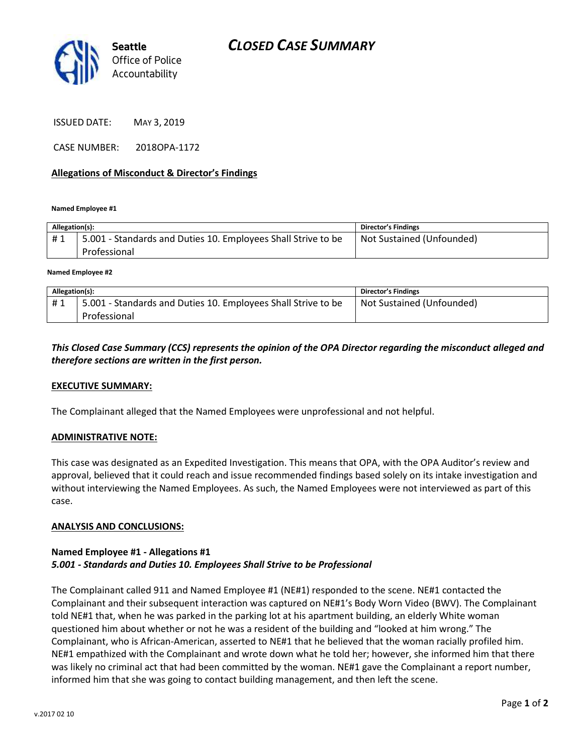

ISSUED DATE: MAY 3, 2019

CASE NUMBER: 2018OPA-1172

## **Allegations of Misconduct & Director's Findings**

**Named Employee #1**

| Allegation(s): |                                                                               | <b>Director's Findings</b> |
|----------------|-------------------------------------------------------------------------------|----------------------------|
| #1             | 5.001 - Standards and Duties 10. Employees Shall Strive to be<br>Professional | Not Sustained (Unfounded)  |
|                |                                                                               |                            |

**Named Employee #2**

| Allegation(s): |                                                                               | Director's Findings       |
|----------------|-------------------------------------------------------------------------------|---------------------------|
| #1             | 5.001 - Standards and Duties 10. Employees Shall Strive to be<br>Professional | Not Sustained (Unfounded) |
|                |                                                                               |                           |

*This Closed Case Summary (CCS) represents the opinion of the OPA Director regarding the misconduct alleged and therefore sections are written in the first person.* 

#### **EXECUTIVE SUMMARY:**

The Complainant alleged that the Named Employees were unprofessional and not helpful.

#### **ADMINISTRATIVE NOTE:**

This case was designated as an Expedited Investigation. This means that OPA, with the OPA Auditor's review and approval, believed that it could reach and issue recommended findings based solely on its intake investigation and without interviewing the Named Employees. As such, the Named Employees were not interviewed as part of this case.

#### **ANALYSIS AND CONCLUSIONS:**

## **Named Employee #1 - Allegations #1** *5.001 - Standards and Duties 10. Employees Shall Strive to be Professional*

The Complainant called 911 and Named Employee #1 (NE#1) responded to the scene. NE#1 contacted the Complainant and their subsequent interaction was captured on NE#1's Body Worn Video (BWV). The Complainant told NE#1 that, when he was parked in the parking lot at his apartment building, an elderly White woman questioned him about whether or not he was a resident of the building and "looked at him wrong." The Complainant, who is African-American, asserted to NE#1 that he believed that the woman racially profiled him. NE#1 empathized with the Complainant and wrote down what he told her; however, she informed him that there was likely no criminal act that had been committed by the woman. NE#1 gave the Complainant a report number, informed him that she was going to contact building management, and then left the scene.